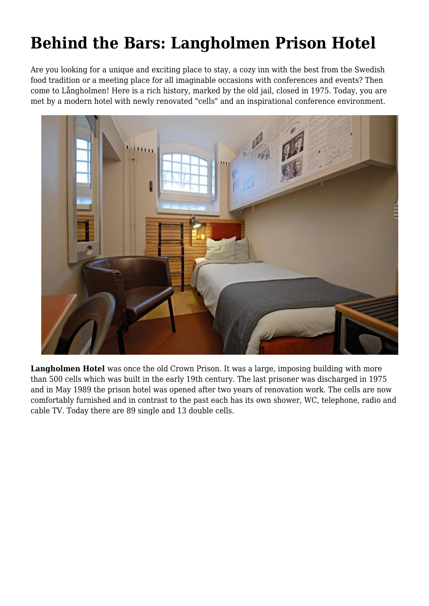## **Behind the Bars: Langholmen Prison Hotel**

Are you looking for a unique and exciting place to stay, a cozy inn with the best from the Swedish food tradition or a meeting place for all imaginable occasions with conferences and events? Then come to Långholmen! Here is a rich history, marked by the old jail, closed in 1975. Today, you are met by a modern hotel with newly renovated "cells" and an inspirational conference environment.



Langholmen Hotel was once the old Crown Prison. It was a large, imposing building with more than 500 cells which was built in the early 19th century. The last prisoner was discharged in 1975 and in May 1989 the prison hotel was opened after two years of renovation work. The cells are now comfortably furnished and in contrast to the past each has its own shower, WC, telephone, radio and cable TV. Today there are 89 single and 13 double cells.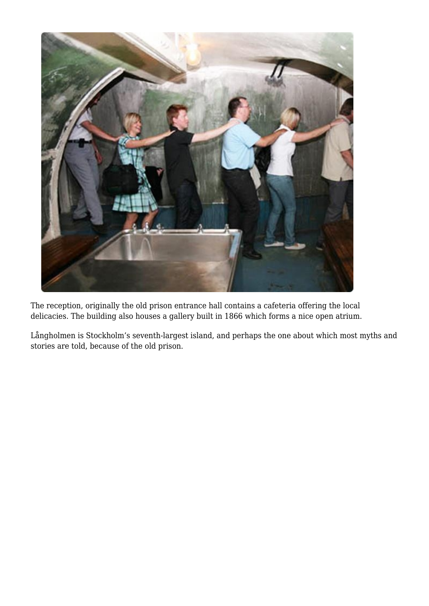

The reception, originally the old prison entrance hall contains a cafeteria offering the local delicacies. The building also houses a gallery built in 1866 which forms a nice open atrium.

Långholmen is Stockholm's seventh-largest island, and perhaps the one about which most myths and stories are told, because of the old prison.